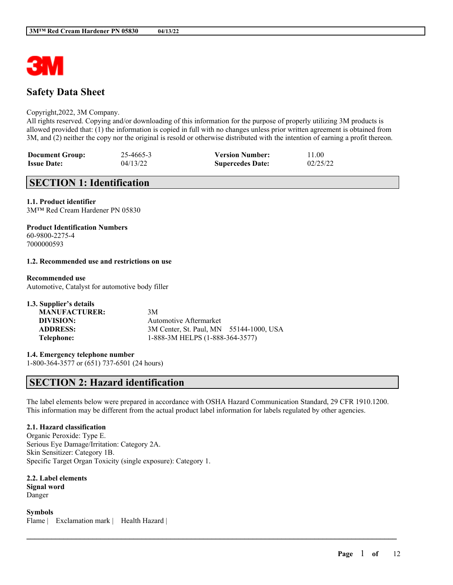

# **Safety Data Sheet**

#### Copyright,2022, 3M Company.

All rights reserved. Copying and/or downloading of this information for the purpose of properly utilizing 3M products is allowed provided that: (1) the information is copied in full with no changes unless prior written agreement is obtained from 3M, and (2) neither the copy nor the original is resold or otherwise distributed with the intention of earning a profit thereon.

| <b>Document Group:</b> | 25-4665-3 | <b>Version Number:</b>  | 11.00    |
|------------------------|-----------|-------------------------|----------|
| <b>Issue Date:</b>     | 04/13/22  | <b>Supercedes Date:</b> | 02/25/22 |

# **SECTION 1: Identification**

## **1.1. Product identifier**

3M™ Red Cream Hardener PN 05830

## **Product Identification Numbers**

60-9800-2275-4 7000000593

#### **1.2. Recommended use and restrictions on use**

#### **Recommended use**

Automotive, Catalyst for automotive body filler

| 3M                                      |
|-----------------------------------------|
| Automotive Aftermarket                  |
| 3M Center, St. Paul, MN 55144-1000, USA |
| 1-888-3M HELPS (1-888-364-3577)         |
|                                         |

**1.4. Emergency telephone number** 1-800-364-3577 or (651) 737-6501 (24 hours)

# **SECTION 2: Hazard identification**

The label elements below were prepared in accordance with OSHA Hazard Communication Standard, 29 CFR 1910.1200. This information may be different from the actual product label information for labels regulated by other agencies.

 $\mathcal{L}_\mathcal{L} = \mathcal{L}_\mathcal{L} = \mathcal{L}_\mathcal{L} = \mathcal{L}_\mathcal{L} = \mathcal{L}_\mathcal{L} = \mathcal{L}_\mathcal{L} = \mathcal{L}_\mathcal{L} = \mathcal{L}_\mathcal{L} = \mathcal{L}_\mathcal{L} = \mathcal{L}_\mathcal{L} = \mathcal{L}_\mathcal{L} = \mathcal{L}_\mathcal{L} = \mathcal{L}_\mathcal{L} = \mathcal{L}_\mathcal{L} = \mathcal{L}_\mathcal{L} = \mathcal{L}_\mathcal{L} = \mathcal{L}_\mathcal{L}$ 

## **2.1. Hazard classification**

Organic Peroxide: Type E. Serious Eye Damage/Irritation: Category 2A. Skin Sensitizer: Category 1B. Specific Target Organ Toxicity (single exposure): Category 1.

**2.2. Label elements Signal word** Danger

**Symbols** Flame | Exclamation mark | Health Hazard |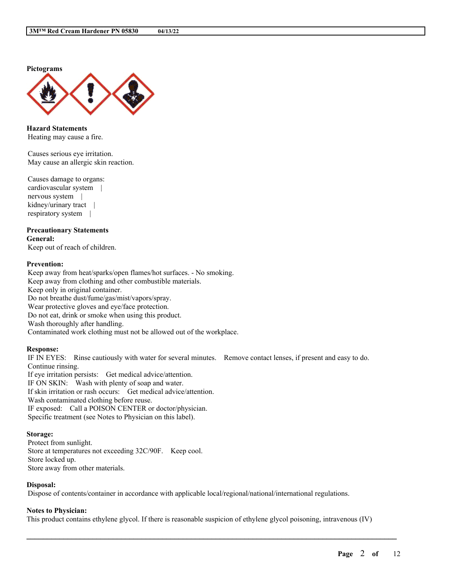**Pictograms**



**Hazard Statements** Heating may cause a fire.

Causes serious eye irritation. May cause an allergic skin reaction.

Causes damage to organs: cardiovascular system | nervous system | kidney/urinary tract | respiratory system |

#### **Precautionary Statements General:**

Keep out of reach of children.

### **Prevention:**

Keep away from heat/sparks/open flames/hot surfaces. - No smoking. Keep away from clothing and other combustible materials. Keep only in original container. Do not breathe dust/fume/gas/mist/vapors/spray. Wear protective gloves and eye/face protection. Do not eat, drink or smoke when using this product. Wash thoroughly after handling. Contaminated work clothing must not be allowed out of the workplace.

#### **Response:**

IF IN EYES: Rinse cautiously with water for several minutes. Remove contact lenses, if present and easy to do. Continue rinsing.

If eye irritation persists: Get medical advice/attention. IF ON SKIN: Wash with plenty of soap and water. If skin irritation or rash occurs: Get medical advice/attention. Wash contaminated clothing before reuse. IF exposed: Call a POISON CENTER or doctor/physician. Specific treatment (see Notes to Physician on this label).

#### **Storage:**

Protect from sunlight. Store at temperatures not exceeding 32C/90F. Keep cool. Store locked up. Store away from other materials.

#### **Disposal:**

Dispose of contents/container in accordance with applicable local/regional/national/international regulations.

# **Notes to Physician:**

This product contains ethylene glycol. If there is reasonable suspicion of ethylene glycol poisoning, intravenous (IV)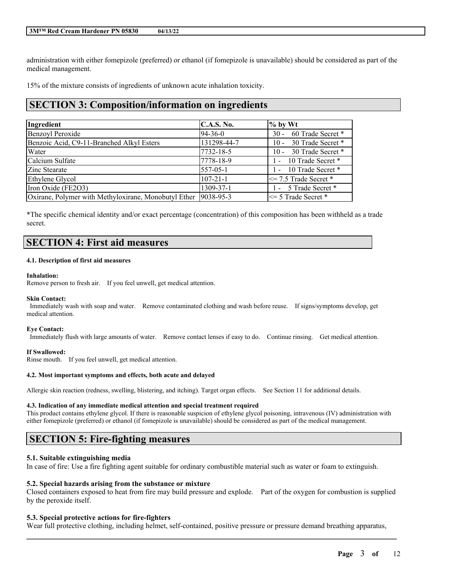administration with either fomepizole (preferred) or ethanol (if fomepizole is unavailable) should be considered as part of the medical management.

15% of the mixture consists of ingredients of unknown acute inhalation toxicity.

# **SECTION 3: Composition/information on ingredients**

| Ingredient                                                       | C.A.S. No.     | $\%$ by Wt                          |
|------------------------------------------------------------------|----------------|-------------------------------------|
| Benzoyl Peroxide                                                 | $ 94-36-0 $    | 60 Trade Secret *<br>$30 -$         |
| Benzoic Acid, C9-11-Branched Alkyl Esters                        | 131298-44-7    | 30 Trade Secret *<br>$10 -$         |
| Water                                                            | 7732-18-5      | 30 Trade Secret *<br>$10 -$         |
| Calcium Sulfate                                                  | 7778-18-9      | 10 Trade Secret *<br>$\blacksquare$ |
| Zinc Stearate                                                    | $557 - 05 - 1$ | - 10 Trade Secret *                 |
| Ethylene Glycol                                                  | $107 - 21 - 1$ | $\leq$ 7.5 Trade Secret $*$         |
| Iron Oxide (FE2O3)                                               | 1309-37-1      | 1 - 5 Trade Secret *                |
| Oxirane, Polymer with Methyloxirane, Monobutyl Ether   9038-95-3 |                | $\leq$ 5 Trade Secret *             |

\*The specific chemical identity and/or exact percentage (concentration) of this composition has been withheld as a trade secret.

# **SECTION 4: First aid measures**

#### **4.1. Description of first aid measures**

#### **Inhalation:**

Remove person to fresh air. If you feel unwell, get medical attention.

#### **Skin Contact:**

Immediately wash with soap and water. Remove contaminated clothing and wash before reuse. If signs/symptoms develop, get medical attention.

#### **Eye Contact:**

Immediately flush with large amounts of water. Remove contact lenses if easy to do. Continue rinsing. Get medical attention.

#### **If Swallowed:**

Rinse mouth. If you feel unwell, get medical attention.

#### **4.2. Most important symptoms and effects, both acute and delayed**

Allergic skin reaction (redness, swelling, blistering, and itching). Target organ effects. See Section 11 for additional details.

#### **4.3. Indication of any immediate medical attention and special treatment required**

This product contains ethylene glycol. If there is reasonable suspicion of ethylene glycol poisoning, intravenous (IV) administration with either fomepizole (preferred) or ethanol (if fomepizole is unavailable) should be considered as part of the medical management.

# **SECTION 5: Fire-fighting measures**

#### **5.1. Suitable extinguishing media**

In case of fire: Use a fire fighting agent suitable for ordinary combustible material such as water or foam to extinguish.

#### **5.2. Special hazards arising from the substance or mixture**

Closed containers exposed to heat from fire may build pressure and explode. Part of the oxygen for combustion is supplied by the peroxide itself.

#### **5.3. Special protective actions for fire-fighters**

Wear full protective clothing, including helmet, self-contained, positive pressure or pressure demand breathing apparatus,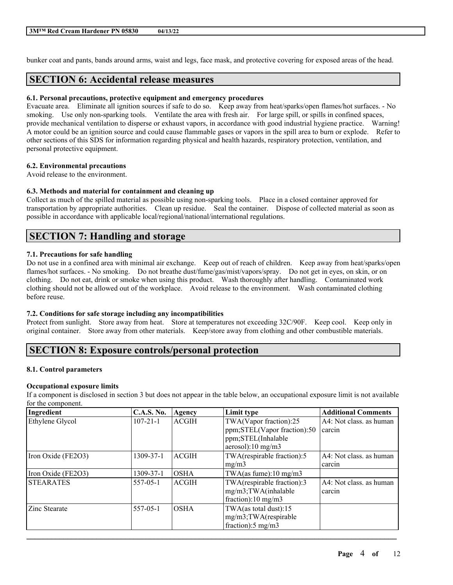bunker coat and pants, bands around arms, waist and legs, face mask, and protective covering for exposed areas of the head.

# **SECTION 6: Accidental release measures**

### **6.1. Personal precautions, protective equipment and emergency procedures**

Evacuate area. Eliminate all ignition sources if safe to do so. Keep away from heat/sparks/open flames/hot surfaces. - No smoking. Use only non-sparking tools. Ventilate the area with fresh air. For large spill, or spills in confined spaces, provide mechanical ventilation to disperse or exhaust vapors, in accordance with good industrial hygiene practice. Warning! A motor could be an ignition source and could cause flammable gases or vapors in the spill area to burn or explode. Refer to other sections of this SDS for information regarding physical and health hazards, respiratory protection, ventilation, and personal protective equipment.

## **6.2. Environmental precautions**

Avoid release to the environment.

## **6.3. Methods and material for containment and cleaning up**

Collect as much of the spilled material as possible using non-sparking tools. Place in a closed container approved for transportation by appropriate authorities. Clean up residue. Seal the container. Dispose of collected material as soon as possible in accordance with applicable local/regional/national/international regulations.

# **SECTION 7: Handling and storage**

#### **7.1. Precautions for safe handling**

Do not use in a confined area with minimal air exchange. Keep out of reach of children. Keep away from heat/sparks/open flames/hot surfaces. - No smoking. Do not breathe dust/fume/gas/mist/vapors/spray. Do not get in eyes, on skin, or on clothing. Do not eat, drink or smoke when using this product. Wash thoroughly after handling. Contaminated work clothing should not be allowed out of the workplace. Avoid release to the environment. Wash contaminated clothing before reuse.

#### **7.2. Conditions for safe storage including any incompatibilities**

Protect from sunlight. Store away from heat. Store at temperatures not exceeding 32C/90F. Keep cool. Keep only in original container. Store away from other materials. Keep/store away from clothing and other combustible materials.

# **SECTION 8: Exposure controls/personal protection**

## **8.1. Control parameters**

## **Occupational exposure limits**

If a component is disclosed in section 3 but does not appear in the table below, an occupational exposure limit is not available for the component.

| Ingredient         | <b>C.A.S. No.</b> | Agency       | Limit type                        | <b>Additional Comments</b> |
|--------------------|-------------------|--------------|-----------------------------------|----------------------------|
| Ethylene Glycol    | $107 - 21 - 1$    | <b>ACGIH</b> | TWA(Vapor fraction):25            | A4: Not class. as human    |
|                    |                   |              | ppm;STEL(Vapor fraction):50       | carcin                     |
|                    |                   |              | ppm;STEL(Inhalable                |                            |
|                    |                   |              | aerosol): $10 \text{ mg/m}$ 3     |                            |
| Iron Oxide (FE2O3) | 1309-37-1         | <b>ACGIH</b> | TWA(respirable fraction):5        | A4: Not class. as human    |
|                    |                   |              | mg/m3                             | carcin                     |
| Iron Oxide (FE2O3) | 1309-37-1         | <b>OSHA</b>  | TWA(as fume): $10 \text{ mg/m}$ 3 |                            |
| <b>STEARATES</b>   | $557 - 05 - 1$    | <b>ACGIH</b> | TWA(respirable fraction):3        | A4: Not class. as human    |
|                    |                   |              | mg/m3;TWA(inhalable               | carcin                     |
|                    |                   |              | fraction):10 mg/m3                |                            |
| Zinc Stearate      | $557 - 05 - 1$    | <b>OSHA</b>  | TWA(as total dust):15             |                            |
|                    |                   |              | $mg/m3$ ; TWA(respirable          |                            |
|                    |                   |              | fraction): $5 \text{ mg/m}$ 3     |                            |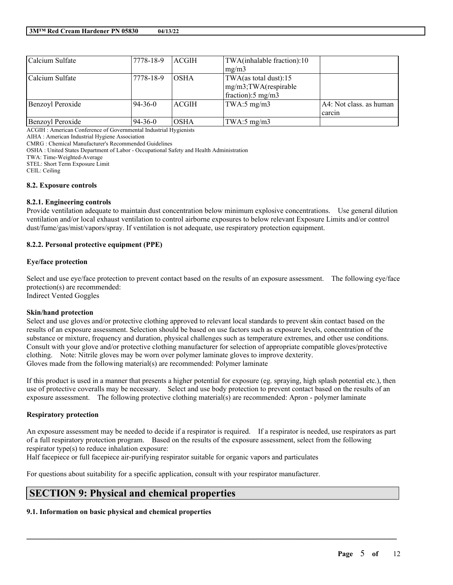| Calcium Sulfate  | 7778-18-9 | <b>ACGIH</b> | TWA(inhalable fraction):10  |                         |
|------------------|-----------|--------------|-----------------------------|-------------------------|
|                  |           |              | mg/m3                       |                         |
| Calcium Sulfate  | 7778-18-9 | <b>OSHA</b>  | TWA(as total dust):15       |                         |
|                  |           |              | mg/m3;TWA(respirable        |                         |
|                  |           |              | fraction): $5 \text{ mg/m}$ |                         |
| Benzoyl Peroxide | 94-36-0   | <b>ACGIH</b> | TWA:5 mg/m3                 | A4: Not class. as human |
|                  |           |              |                             | carcin                  |
| Benzoyl Peroxide | 94-36-0   | <b>OSHA</b>  | TWA:5 $mg/m3$               |                         |

ACGIH : American Conference of Governmental Industrial Hygienists

AIHA : American Industrial Hygiene Association

CMRG : Chemical Manufacturer's Recommended Guidelines

OSHA : United States Department of Labor - Occupational Safety and Health Administration

TWA: Time-Weighted-Average

STEL: Short Term Exposure Limit

CEIL: Ceiling

#### **8.2. Exposure controls**

#### **8.2.1. Engineering controls**

Provide ventilation adequate to maintain dust concentration below minimum explosive concentrations. Use general dilution ventilation and/or local exhaust ventilation to control airborne exposures to below relevant Exposure Limits and/or control dust/fume/gas/mist/vapors/spray. If ventilation is not adequate, use respiratory protection equipment.

#### **8.2.2. Personal protective equipment (PPE)**

#### **Eye/face protection**

Select and use eye/face protection to prevent contact based on the results of an exposure assessment. The following eye/face protection(s) are recommended:

Indirect Vented Goggles

#### **Skin/hand protection**

Select and use gloves and/or protective clothing approved to relevant local standards to prevent skin contact based on the results of an exposure assessment. Selection should be based on use factors such as exposure levels, concentration of the substance or mixture, frequency and duration, physical challenges such as temperature extremes, and other use conditions. Consult with your glove and/or protective clothing manufacturer for selection of appropriate compatible gloves/protective clothing. Note: Nitrile gloves may be worn over polymer laminate gloves to improve dexterity. Gloves made from the following material(s) are recommended: Polymer laminate

If this product is used in a manner that presents a higher potential for exposure (eg. spraying, high splash potential etc.), then use of protective coveralls may be necessary. Select and use body protection to prevent contact based on the results of an exposure assessment. The following protective clothing material(s) are recommended: Apron - polymer laminate

#### **Respiratory protection**

An exposure assessment may be needed to decide if a respirator is required. If a respirator is needed, use respirators as part of a full respiratory protection program. Based on the results of the exposure assessment, select from the following respirator type(s) to reduce inhalation exposure:

 $\mathcal{L}_\mathcal{L} = \mathcal{L}_\mathcal{L} = \mathcal{L}_\mathcal{L} = \mathcal{L}_\mathcal{L} = \mathcal{L}_\mathcal{L} = \mathcal{L}_\mathcal{L} = \mathcal{L}_\mathcal{L} = \mathcal{L}_\mathcal{L} = \mathcal{L}_\mathcal{L} = \mathcal{L}_\mathcal{L} = \mathcal{L}_\mathcal{L} = \mathcal{L}_\mathcal{L} = \mathcal{L}_\mathcal{L} = \mathcal{L}_\mathcal{L} = \mathcal{L}_\mathcal{L} = \mathcal{L}_\mathcal{L} = \mathcal{L}_\mathcal{L}$ 

Half facepiece or full facepiece air-purifying respirator suitable for organic vapors and particulates

For questions about suitability for a specific application, consult with your respirator manufacturer.

# **SECTION 9: Physical and chemical properties**

## **9.1. Information on basic physical and chemical properties**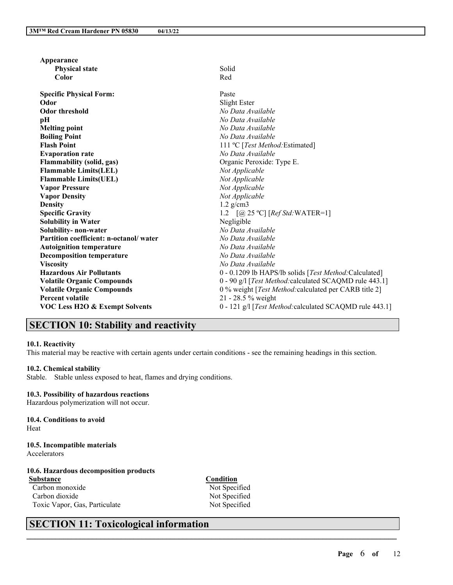| Solid<br><b>Physical state</b><br>Color<br>Red<br>Paste<br><b>Specific Physical Form:</b><br>Slight Ester<br>Odor<br><b>Odor threshold</b><br>No Data Available<br>No Data Available<br>pH<br>No Data Available<br><b>Melting point</b><br><b>Boiling Point</b><br>No Data Available<br>111 °C [Test Method: Estimated]<br><b>Flash Point</b><br><b>Evaporation rate</b><br>No Data Available<br>Flammability (solid, gas)<br>Organic Peroxide: Type E.<br><b>Flammable Limits(LEL)</b><br>Not Applicable<br><b>Flammable Limits(UEL)</b><br>Not Applicable<br>Not Applicable<br><b>Vapor Pressure</b><br><b>Vapor Density</b><br>Not Applicable<br>$1.2$ g/cm3<br><b>Density</b><br><b>Specific Gravity</b><br>1.2 $[@ 25 °C] [Ref Std: WATER=1]$<br><b>Solubility in Water</b><br>Negligible<br>Solubility- non-water<br>No Data Available<br>Partition coefficient: n-octanol/water<br>No Data Available<br><b>Autoignition temperature</b><br>No Data Available<br>No Data Available<br><b>Decomposition temperature</b> |
|------------------------------------------------------------------------------------------------------------------------------------------------------------------------------------------------------------------------------------------------------------------------------------------------------------------------------------------------------------------------------------------------------------------------------------------------------------------------------------------------------------------------------------------------------------------------------------------------------------------------------------------------------------------------------------------------------------------------------------------------------------------------------------------------------------------------------------------------------------------------------------------------------------------------------------------------------------------------------------------------------------------------------|
|                                                                                                                                                                                                                                                                                                                                                                                                                                                                                                                                                                                                                                                                                                                                                                                                                                                                                                                                                                                                                              |
|                                                                                                                                                                                                                                                                                                                                                                                                                                                                                                                                                                                                                                                                                                                                                                                                                                                                                                                                                                                                                              |
|                                                                                                                                                                                                                                                                                                                                                                                                                                                                                                                                                                                                                                                                                                                                                                                                                                                                                                                                                                                                                              |
|                                                                                                                                                                                                                                                                                                                                                                                                                                                                                                                                                                                                                                                                                                                                                                                                                                                                                                                                                                                                                              |
|                                                                                                                                                                                                                                                                                                                                                                                                                                                                                                                                                                                                                                                                                                                                                                                                                                                                                                                                                                                                                              |
|                                                                                                                                                                                                                                                                                                                                                                                                                                                                                                                                                                                                                                                                                                                                                                                                                                                                                                                                                                                                                              |
|                                                                                                                                                                                                                                                                                                                                                                                                                                                                                                                                                                                                                                                                                                                                                                                                                                                                                                                                                                                                                              |
|                                                                                                                                                                                                                                                                                                                                                                                                                                                                                                                                                                                                                                                                                                                                                                                                                                                                                                                                                                                                                              |
|                                                                                                                                                                                                                                                                                                                                                                                                                                                                                                                                                                                                                                                                                                                                                                                                                                                                                                                                                                                                                              |
|                                                                                                                                                                                                                                                                                                                                                                                                                                                                                                                                                                                                                                                                                                                                                                                                                                                                                                                                                                                                                              |
|                                                                                                                                                                                                                                                                                                                                                                                                                                                                                                                                                                                                                                                                                                                                                                                                                                                                                                                                                                                                                              |
|                                                                                                                                                                                                                                                                                                                                                                                                                                                                                                                                                                                                                                                                                                                                                                                                                                                                                                                                                                                                                              |
|                                                                                                                                                                                                                                                                                                                                                                                                                                                                                                                                                                                                                                                                                                                                                                                                                                                                                                                                                                                                                              |
|                                                                                                                                                                                                                                                                                                                                                                                                                                                                                                                                                                                                                                                                                                                                                                                                                                                                                                                                                                                                                              |
|                                                                                                                                                                                                                                                                                                                                                                                                                                                                                                                                                                                                                                                                                                                                                                                                                                                                                                                                                                                                                              |
|                                                                                                                                                                                                                                                                                                                                                                                                                                                                                                                                                                                                                                                                                                                                                                                                                                                                                                                                                                                                                              |
|                                                                                                                                                                                                                                                                                                                                                                                                                                                                                                                                                                                                                                                                                                                                                                                                                                                                                                                                                                                                                              |
|                                                                                                                                                                                                                                                                                                                                                                                                                                                                                                                                                                                                                                                                                                                                                                                                                                                                                                                                                                                                                              |
|                                                                                                                                                                                                                                                                                                                                                                                                                                                                                                                                                                                                                                                                                                                                                                                                                                                                                                                                                                                                                              |
|                                                                                                                                                                                                                                                                                                                                                                                                                                                                                                                                                                                                                                                                                                                                                                                                                                                                                                                                                                                                                              |
|                                                                                                                                                                                                                                                                                                                                                                                                                                                                                                                                                                                                                                                                                                                                                                                                                                                                                                                                                                                                                              |
|                                                                                                                                                                                                                                                                                                                                                                                                                                                                                                                                                                                                                                                                                                                                                                                                                                                                                                                                                                                                                              |
|                                                                                                                                                                                                                                                                                                                                                                                                                                                                                                                                                                                                                                                                                                                                                                                                                                                                                                                                                                                                                              |
| <b>Viscosity</b><br>No Data Available                                                                                                                                                                                                                                                                                                                                                                                                                                                                                                                                                                                                                                                                                                                                                                                                                                                                                                                                                                                        |
| <b>Hazardous Air Pollutants</b><br>0 - 0.1209 lb HAPS/lb solids [Test Method:Calculated]                                                                                                                                                                                                                                                                                                                                                                                                                                                                                                                                                                                                                                                                                                                                                                                                                                                                                                                                     |
| 0 - 90 g/l [Test Method:calculated SCAQMD rule 443.1]<br><b>Volatile Organic Compounds</b>                                                                                                                                                                                                                                                                                                                                                                                                                                                                                                                                                                                                                                                                                                                                                                                                                                                                                                                                   |
| <b>Volatile Organic Compounds</b><br>0 % weight [Test Method: calculated per CARB title 2]                                                                                                                                                                                                                                                                                                                                                                                                                                                                                                                                                                                                                                                                                                                                                                                                                                                                                                                                   |
| <b>Percent volatile</b><br>21 - 28.5 % weight                                                                                                                                                                                                                                                                                                                                                                                                                                                                                                                                                                                                                                                                                                                                                                                                                                                                                                                                                                                |
| VOC Less H2O & Exempt Solvents<br>0 - 121 g/l [Test Method: calculated SCAQMD rule 443.1]                                                                                                                                                                                                                                                                                                                                                                                                                                                                                                                                                                                                                                                                                                                                                                                                                                                                                                                                    |

# **SECTION 10: Stability and reactivity**

#### **10.1. Reactivity**

This material may be reactive with certain agents under certain conditions - see the remaining headings in this section.

#### **10.2. Chemical stability**

Stable. Stable unless exposed to heat, flames and drying conditions.

#### **10.3. Possibility of hazardous reactions**

Hazardous polymerization will not occur.

# **10.4. Conditions to avoid**

Heat

#### **10.5. Incompatible materials** Accelerators

#### **10.6. Hazardous decomposition products Substance Condition**

Carbon monoxide Not Specified<br>Carbon dioxide Not Specified Carbon dioxide Toxic Vapor, Gas, Particulate Not Specified

 $\mathcal{L}_\mathcal{L} = \mathcal{L}_\mathcal{L} = \mathcal{L}_\mathcal{L} = \mathcal{L}_\mathcal{L} = \mathcal{L}_\mathcal{L} = \mathcal{L}_\mathcal{L} = \mathcal{L}_\mathcal{L} = \mathcal{L}_\mathcal{L} = \mathcal{L}_\mathcal{L} = \mathcal{L}_\mathcal{L} = \mathcal{L}_\mathcal{L} = \mathcal{L}_\mathcal{L} = \mathcal{L}_\mathcal{L} = \mathcal{L}_\mathcal{L} = \mathcal{L}_\mathcal{L} = \mathcal{L}_\mathcal{L} = \mathcal{L}_\mathcal{L}$ 

# **SECTION 11: Toxicological information**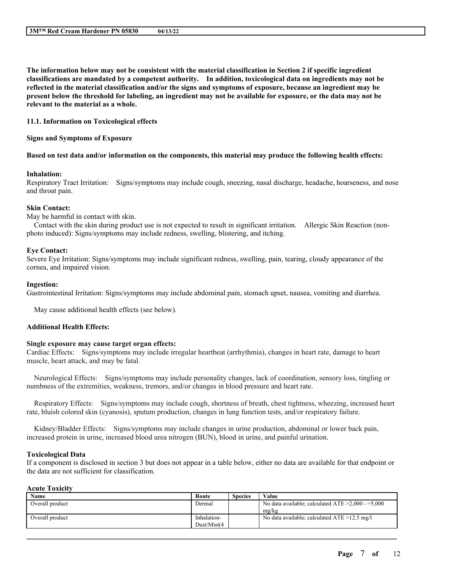The information below may not be consistent with the material classification in Section 2 if specific ingredient **classifications are mandated by a competent authority. In addition, toxicological data on ingredients may not be** reflected in the material classification and/or the signs and symptoms of exposure, because an ingredient may be present below the threshold for labeling, an ingredient may not be available for exposure, or the data may not be **relevant to the material as a whole.**

**11.1. Information on Toxicological effects**

**Signs and Symptoms of Exposure**

#### Based on test data and/or information on the components, this material may produce the following health effects:

#### **Inhalation:**

Respiratory Tract Irritation: Signs/symptoms may include cough, sneezing, nasal discharge, headache, hoarseness, and nose and throat pain.

#### **Skin Contact:**

May be harmful in contact with skin.

Contact with the skin during product use is not expected to result in significant irritation. Allergic Skin Reaction (nonphoto induced): Signs/symptoms may include redness, swelling, blistering, and itching.

#### **Eye Contact:**

Severe Eye Irritation: Signs/symptoms may include significant redness, swelling, pain, tearing, cloudy appearance of the cornea, and impaired vision.

#### **Ingestion:**

Gastrointestinal Irritation: Signs/symptoms may include abdominal pain, stomach upset, nausea, vomiting and diarrhea.

May cause additional health effects (see below).

#### **Additional Health Effects:**

#### **Single exposure may cause target organ effects:**

Cardiac Effects: Signs/symptoms may include irregular heartbeat (arrhythmia), changes in heart rate, damage to heart muscle, heart attack, and may be fatal.

Neurological Effects: Signs/symptoms may include personality changes, lack of coordination, sensory loss, tingling or numbness of the extremities, weakness, tremors, and/or changes in blood pressure and heart rate.

Respiratory Effects: Signs/symptoms may include cough, shortness of breath, chest tightness, wheezing, increased heart rate, bluish colored skin (cyanosis), sputum production, changes in lung function tests, and/or respiratory failure.

Kidney/Bladder Effects: Signs/symptoms may include changes in urine production, abdominal or lower back pain, increased protein in urine, increased blood urea nitrogen (BUN), blood in urine, and painful urination.

#### **Toxicological Data**

If a component is disclosed in section 3 but does not appear in a table below, either no data are available for that endpoint or the data are not sufficient for classification.

#### **Acute Toxicity**

| Name            | Route       | <b>Species</b> | Value                                                  |
|-----------------|-------------|----------------|--------------------------------------------------------|
| Overall product | Dermal      |                | No data available; calculated ATE $\geq 2,000 - 5,000$ |
|                 |             |                | mg/kg                                                  |
| Overall product | Inhalation- |                | No data available; calculated $ATE > 12.5$ mg/l        |
|                 | Dust/Mist(4 |                |                                                        |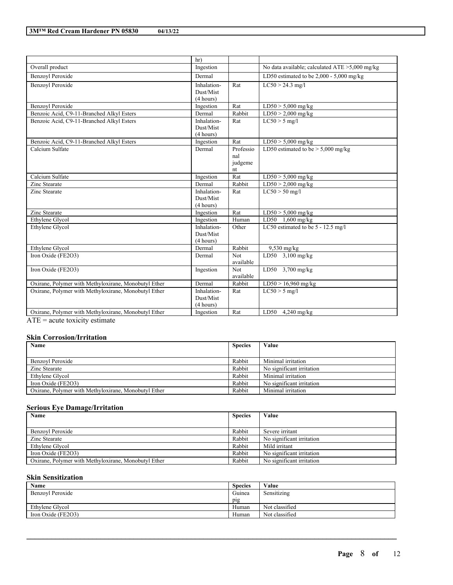|                                                      | hr)                      |               |                                                   |
|------------------------------------------------------|--------------------------|---------------|---------------------------------------------------|
| Overall product                                      | Ingestion                |               | No data available; calculated $ATE > 5,000$ mg/kg |
| <b>Benzovl Peroxide</b>                              | Dermal                   |               | LD50 estimated to be $2,000 - 5,000$ mg/kg        |
| <b>Benzovl Peroxide</b>                              | Inhalation-              | Rat           | $LC50 > 24.3$ mg/l                                |
|                                                      | Dust/Mist                |               |                                                   |
|                                                      | (4 hours)                |               |                                                   |
| Benzoyl Peroxide                                     | Ingestion                | Rat           | $LD50 > 5,000$ mg/kg                              |
| Benzoic Acid, C9-11-Branched Alkyl Esters            | Dermal                   | Rabbit        | $LD50 > 2,000$ mg/kg                              |
| Benzoic Acid, C9-11-Branched Alkyl Esters            | Inhalation-              | Rat           | $LC50 > 5$ mg/l                                   |
|                                                      | Dust/Mist                |               |                                                   |
|                                                      | (4 hours)                |               |                                                   |
| Benzoic Acid, C9-11-Branched Alkyl Esters            | Ingestion                | Rat           | $LD50 > 5,000$ mg/kg                              |
| Calcium Sulfate                                      | Dermal                   | Professio     | LD50 estimated to be $> 5,000$ mg/kg              |
|                                                      |                          | nal           |                                                   |
|                                                      |                          | judgeme       |                                                   |
| Calcium Sulfate                                      |                          | nt            |                                                   |
| Zinc Stearate                                        | Ingestion<br>Dermal      | Rat<br>Rabbit | $\overline{\text{LD}}$ 50 > 5,000 mg/kg           |
|                                                      |                          |               | $LD50 > 2,000$ mg/kg                              |
| Zinc Stearate                                        | Inhalation-<br>Dust/Mist | Rat           | $LC50 > 50$ mg/l                                  |
|                                                      | (4 hours)                |               |                                                   |
| Zinc Stearate                                        | Ingestion                | Rat           | $LD50 > 5,000$ mg/kg                              |
| Ethylene Glycol                                      | Ingestion                | Human         | LD50 1,600 mg/kg                                  |
| Ethylene Glycol                                      | Inhalation-              | Other         | LC50 estimated to be 5 - 12.5 mg/l                |
|                                                      | Dust/Mist                |               |                                                   |
|                                                      | (4 hours)                |               |                                                   |
| Ethylene Glycol                                      | Dermal                   | Rabbit        | $9,530$ mg/kg                                     |
| Iron Oxide (FE2O3)                                   | Dermal                   | Not           | LD50 3,100 mg/kg                                  |
|                                                      |                          | available     |                                                   |
| Iron Oxide (FE2O3)                                   | Ingestion                | <b>Not</b>    | LD50 3,700 mg/kg                                  |
|                                                      |                          | available     |                                                   |
| Oxirane, Polymer with Methyloxirane, Monobutyl Ether | Dermal                   | Rabbit        | LD50 > 16,960 mg/kg                               |
| Oxirane, Polymer with Methyloxirane, Monobutyl Ether | Inhalation-              | Rat           | $LC50 > 5$ mg/l                                   |
|                                                      | Dust/Mist                |               |                                                   |
|                                                      | (4 hours)                |               |                                                   |
| Oxirane, Polymer with Methyloxirane, Monobutyl Ether | Ingestion                | Rat           | LD50 $4,240$ mg/kg                                |

 $ATE = acute$  toxicity estimate

# **Skin Corrosion/Irritation**

| Name                                                 | <b>Species</b> | Value                     |
|------------------------------------------------------|----------------|---------------------------|
|                                                      |                |                           |
| Benzovl Peroxide                                     | Rabbit         | Minimal irritation        |
| Zinc Stearate                                        | Rabbit         | No significant irritation |
| Ethylene Glycol                                      | Rabbit         | Minimal irritation        |
| Iron Oxide $(FE2O3)$                                 | Rabbit         | No significant irritation |
| Oxirane, Polymer with Methyloxirane, Monobutyl Ether | Rabbit         | Minimal irritation        |

## **Serious Eye Damage/Irritation**

| Name                                                 | <b>Species</b> | Value                     |
|------------------------------------------------------|----------------|---------------------------|
|                                                      |                |                           |
| Benzovl Peroxide                                     | Rabbit         | Severe irritant           |
| Zinc Stearate                                        | Rabbit         | No significant irritation |
| Ethylene Glycol                                      | Rabbit         | Mild irritant             |
| Iron Oxide (FE2O3)                                   | Rabbit         | No significant irritation |
| Oxirane, Polymer with Methyloxirane, Monobutyl Ether | Rabbit         | No significant irritation |

#### **Skin Sensitization**

| Name               | <b>Species</b> | Value          |
|--------------------|----------------|----------------|
| Benzoyl Peroxide   | Guinea         | Sensitizing    |
|                    | pig            |                |
| Ethylene Glycol    | Human          | Not classified |
| Iron Oxide (FE2O3) | Human          | Not classified |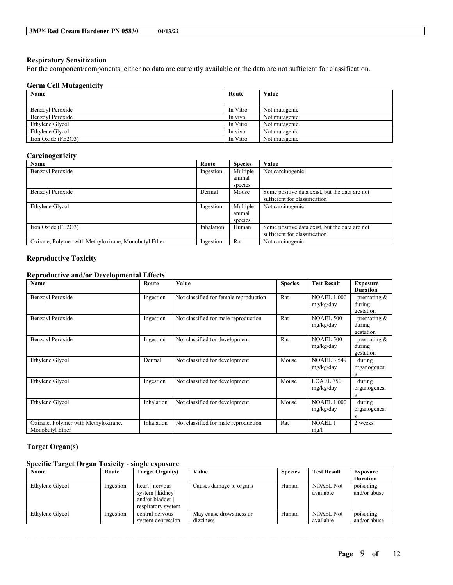### **Respiratory Sensitization**

For the component/components, either no data are currently available or the data are not sufficient for classification.

## **Germ Cell Mutagenicity**

| Name                 | Route    | Value         |
|----------------------|----------|---------------|
|                      |          |               |
| Benzovl Peroxide     | In Vitro | Not mutagenic |
| Benzovl Peroxide     | In vivo  | Not mutagenic |
| Ethylene Glycol      | In Vitro | Not mutagenic |
| Ethylene Glycol      | In vivo  | Not mutagenic |
| Iron Oxide $(FE2O3)$ | In Vitro | Not mutagenic |

#### **Carcinogenicity**

| Name                                                 | Route      | <b>Species</b> | Value                                          |
|------------------------------------------------------|------------|----------------|------------------------------------------------|
| Benzovl Peroxide                                     | Ingestion  | Multiple       | Not carcinogenic                               |
|                                                      |            | animal         |                                                |
|                                                      |            | species        |                                                |
| Benzovl Peroxide                                     | Dermal     | Mouse          | Some positive data exist, but the data are not |
|                                                      |            |                | sufficient for classification                  |
| Ethylene Glycol                                      | Ingestion  | Multiple       | Not carcinogenic                               |
|                                                      |            | animal         |                                                |
|                                                      |            | species        |                                                |
| Iron Oxide (FE2O3)                                   | Inhalation | Human          | Some positive data exist, but the data are not |
|                                                      |            |                | sufficient for classification                  |
| Oxirane, Polymer with Methyloxirane, Monobutyl Ether | Ingestion  | Rat            | Not carcinogenic                               |

### **Reproductive Toxicity**

## **Reproductive and/or Developmental Effects**

| <b>Name</b>                                             | Route      | Value                                  | <b>Species</b> | <b>Test Result</b>              | <b>Exposure</b><br><b>Duration</b>    |
|---------------------------------------------------------|------------|----------------------------------------|----------------|---------------------------------|---------------------------------------|
| Benzoyl Peroxide                                        | Ingestion  | Not classified for female reproduction | Rat            | <b>NOAEL 1,000</b><br>mg/kg/day | premating $\&$<br>during<br>gestation |
| Benzoyl Peroxide                                        | Ingestion  | Not classified for male reproduction   | Rat            | <b>NOAEL 500</b><br>mg/kg/day   | premating $\&$<br>during<br>gestation |
| Benzoyl Peroxide                                        | Ingestion  | Not classified for development         | Rat            | <b>NOAEL 500</b><br>mg/kg/day   | premating $\&$<br>during<br>gestation |
| Ethylene Glycol                                         | Dermal     | Not classified for development         | Mouse          | <b>NOAEL 3,549</b><br>mg/kg/day | during<br>organogenesi<br>S           |
| Ethylene Glycol                                         | Ingestion  | Not classified for development         | Mouse          | <b>LOAEL 750</b><br>mg/kg/day   | during<br>organogenesi<br>S           |
| Ethylene Glycol                                         | Inhalation | Not classified for development         | Mouse          | <b>NOAEL 1,000</b><br>mg/kg/day | during<br>organogenesi<br>S           |
| Oxirane, Polymer with Methyloxirane,<br>Monobutyl Ether | Inhalation | Not classified for male reproduction   | Rat            | <b>NOAEL1</b><br>mg/l           | 2 weeks                               |

# **Target Organ(s)**

# **Specific Target Organ Toxicity - single exposure**

| Name            | Route     | Target Organ(s)                                                            | Value                   | <b>Species</b> | <b>Test Result</b>            | <b>Exposure</b>           |
|-----------------|-----------|----------------------------------------------------------------------------|-------------------------|----------------|-------------------------------|---------------------------|
|                 |           |                                                                            |                         |                |                               | <b>Duration</b>           |
| Ethylene Glycol | Ingestion | heart   nervous<br>system   kidney<br>and/or bladder<br>respiratory system | Causes damage to organs | Human          | <b>NOAEL Not</b><br>available | poisoning<br>and/or abuse |
| Ethylene Glycol | Ingestion | central nervous                                                            | May cause drowsiness or | Human          | <b>NOAEL Not</b>              | poisoning                 |
|                 |           | system depression                                                          | dizziness               |                | available                     | and/or abuse              |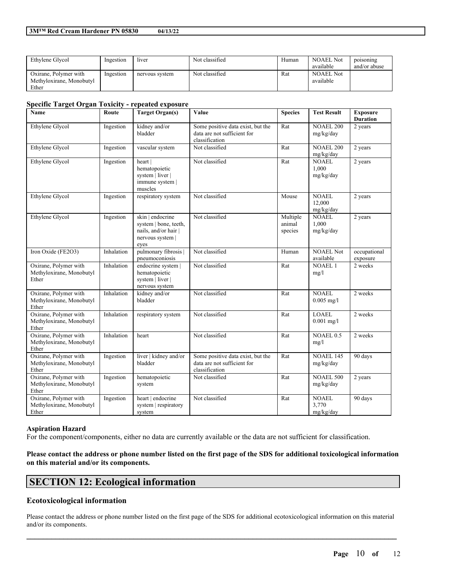| Ethylene Glycol                                            | Ingestion | liver          | Not classified | Human | <b>NOAEL Not</b><br>available | poisoning<br>and/or abuse |
|------------------------------------------------------------|-----------|----------------|----------------|-------|-------------------------------|---------------------------|
| Oxirane, Polymer with<br>Methyloxirane, Monobutyl<br>Ether | Ingestion | nervous system | Not classified | Rat   | <b>NOAEL Not</b><br>available |                           |

#### **Specific Target Organ Toxicity - repeated exposure**

| <b>Name</b>                                                | Route      | <b>Target Organ(s)</b>                                                                        | Value                                                                              | <b>Species</b>                | <b>Test Result</b>                  | <b>Exposure</b><br><b>Duration</b> |
|------------------------------------------------------------|------------|-----------------------------------------------------------------------------------------------|------------------------------------------------------------------------------------|-------------------------------|-------------------------------------|------------------------------------|
| Ethylene Glycol                                            | Ingestion  | kidney and/or<br>bladder                                                                      | Some positive data exist, but the<br>data are not sufficient for<br>classification | Rat                           | <b>NOAEL 200</b><br>mg/kg/day       | 2 years                            |
| Ethylene Glycol                                            | Ingestion  | vascular system                                                                               | Not classified                                                                     | Rat                           | <b>NOAEL 200</b><br>mg/kg/day       | 2 years                            |
| Ethylene Glycol                                            | Ingestion  | heart  <br>hematopoietic<br>system   liver  <br>immune system  <br>muscles                    | Not classified                                                                     | Rat                           | <b>NOAEL</b><br>1.000<br>mg/kg/day  | 2 years                            |
| Ethylene Glycol                                            | Ingestion  | respiratory system                                                                            | Not classified                                                                     | Mouse                         | <b>NOAEL</b><br>12,000<br>mg/kg/day | $\overline{2}$ years               |
| Ethylene Glycol                                            | Ingestion  | skin   endocrine<br>system   bone, teeth,<br>nails, and/or hair  <br>nervous system  <br>eyes | Not classified                                                                     | Multiple<br>animal<br>species | <b>NOAEL</b><br>1.000<br>mg/kg/day  | 2 years                            |
| Iron Oxide (FE2O3)                                         | Inhalation | pulmonary fibrosis  <br>pneumoconiosis                                                        | Not classified                                                                     | Human                         | <b>NOAEL Not</b><br>available       | occupational<br>exposure           |
| Oxirane, Polymer with<br>Methyloxirane, Monobutyl<br>Ether | Inhalation | endocrine system  <br>hematopoietic<br>system   liver  <br>nervous system                     | Not classified                                                                     | Rat                           | <b>NOAEL1</b><br>mg/l               | 2 weeks                            |
| Oxirane, Polymer with<br>Methyloxirane, Monobutyl<br>Ether | Inhalation | kidney and/or<br>bladder                                                                      | Not classified                                                                     | Rat                           | <b>NOAEL</b><br>$0.005$ mg/l        | 2 weeks                            |
| Oxirane, Polymer with<br>Methyloxirane, Monobutyl<br>Ether | Inhalation | respiratory system                                                                            | Not classified                                                                     | Rat                           | <b>LOAEL</b><br>$0.001$ mg/l        | 2 weeks                            |
| Oxirane, Polymer with<br>Methyloxirane, Monobutyl<br>Ether | Inhalation | heart                                                                                         | Not classified                                                                     | Rat                           | NOAEL 0.5<br>mg/l                   | 2 weeks                            |
| Oxirane, Polymer with<br>Methyloxirane, Monobutyl<br>Ether | Ingestion  | liver   kidney and/or<br>bladder                                                              | Some positive data exist, but the<br>data are not sufficient for<br>classification | Rat                           | <b>NOAEL 145</b><br>mg/kg/day       | 90 days                            |
| Oxirane, Polymer with<br>Methyloxirane, Monobutyl<br>Ether | Ingestion  | hematopoietic<br>system                                                                       | Not classified                                                                     | Rat                           | <b>NOAEL 500</b><br>mg/kg/day       | 2 years                            |
| Oxirane, Polymer with<br>Methyloxirane, Monobutyl<br>Ether | Ingestion  | heart   endocrine<br>system   respiratory<br>system                                           | Not classified                                                                     | Rat                           | <b>NOAEL</b><br>3,770<br>mg/kg/day  | 90 days                            |

#### **Aspiration Hazard**

For the component/components, either no data are currently available or the data are not sufficient for classification.

Please contact the address or phone number listed on the first page of the SDS for additional toxicological information **on this material and/or its components.**

# **SECTION 12: Ecological information**

### **Ecotoxicological information**

Please contact the address or phone number listed on the first page of the SDS for additional ecotoxicological information on this material and/or its components.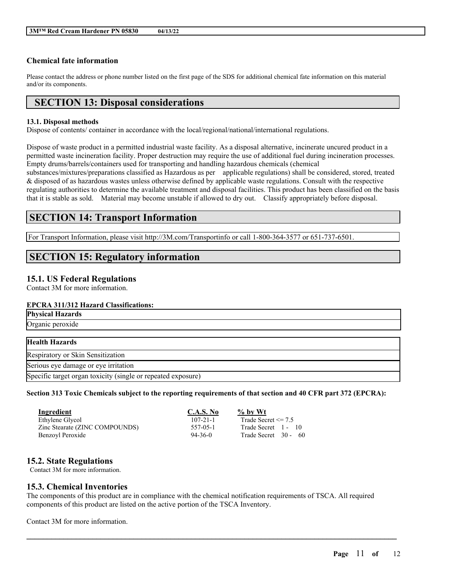## **Chemical fate information**

Please contact the address or phone number listed on the first page of the SDS for additional chemical fate information on this material and/or its components.

# **SECTION 13: Disposal considerations**

### **13.1. Disposal methods**

Dispose of contents/ container in accordance with the local/regional/national/international regulations.

Dispose of waste product in a permitted industrial waste facility. As a disposal alternative, incinerate uncured product in a permitted waste incineration facility. Proper destruction may require the use of additional fuel during incineration processes. Empty drums/barrels/containers used for transporting and handling hazardous chemicals (chemical substances/mixtures/preparations classified as Hazardous as per applicable regulations) shall be considered, stored, treated & disposed of as hazardous wastes unless otherwise defined by applicable waste regulations. Consult with the respective regulating authorities to determine the available treatment and disposal facilities. This product has been classified on the basis that it is stable as sold. Material may become unstable if allowed to dry out. Classify appropriately before disposal.

# **SECTION 14: Transport Information**

For Transport Information, please visit http://3M.com/Transportinfo or call 1-800-364-3577 or 651-737-6501.

# **SECTION 15: Regulatory information**

## **15.1. US Federal Regulations**

Contact 3M for more information.

# **EPCRA 311/312 Hazard Classifications:**

| <b>Physical Hazards</b>                                      |  |
|--------------------------------------------------------------|--|
| Organic peroxide                                             |  |
|                                                              |  |
| <b>Health Hazards</b>                                        |  |
| Respiratory or Skin Sensitization                            |  |
| Serious eye damage or eye irritation                         |  |
| Specific target organ toxicity (single or repeated exposure) |  |

Section 313 Toxic Chemicals subject to the reporting requirements of that section and 40 CFR part 372 (EPCRA):

| Ingredient                     | <b>C.A.S. No</b> | $\%$ by Wt              |
|--------------------------------|------------------|-------------------------|
| Ethylene Glycol                | $107 - 21 - 1$   | Trade Secret $\leq$ 7.5 |
| Zinc Stearate (ZINC COMPOUNDS) | 557-05-1         | Trade Secret 1 - 10     |
| Benzoyl Peroxide               | $94 - 36 - 0$    | Trade Secret 30 - 60    |

# **15.2. State Regulations**

Contact 3M for more information.

# **15.3. Chemical Inventories**

The components of this product are in compliance with the chemical notification requirements of TSCA. All required components of this product are listed on the active portion of the TSCA Inventory.

 $\mathcal{L}_\mathcal{L} = \mathcal{L}_\mathcal{L} = \mathcal{L}_\mathcal{L} = \mathcal{L}_\mathcal{L} = \mathcal{L}_\mathcal{L} = \mathcal{L}_\mathcal{L} = \mathcal{L}_\mathcal{L} = \mathcal{L}_\mathcal{L} = \mathcal{L}_\mathcal{L} = \mathcal{L}_\mathcal{L} = \mathcal{L}_\mathcal{L} = \mathcal{L}_\mathcal{L} = \mathcal{L}_\mathcal{L} = \mathcal{L}_\mathcal{L} = \mathcal{L}_\mathcal{L} = \mathcal{L}_\mathcal{L} = \mathcal{L}_\mathcal{L}$ 

Contact 3M for more information.